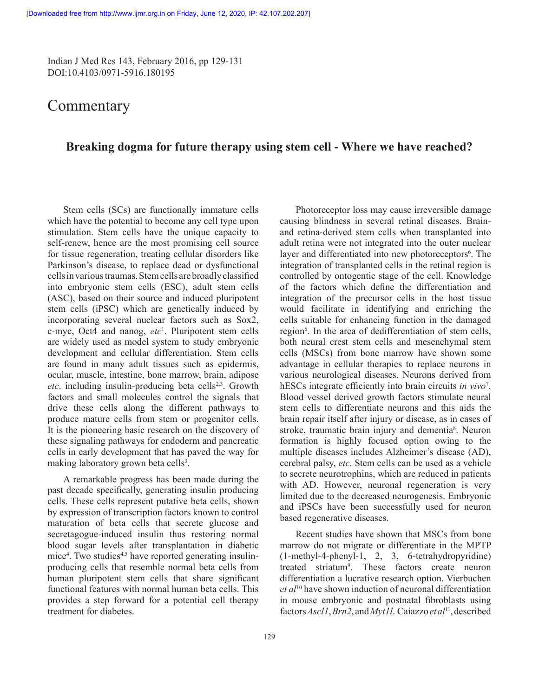Indian J Med Res 143, February 2016, pp 129-131 DOI:10.4103/0971-5916.180195

# **Commentary**

## **Breaking dogma for future therapy using stem cell - Where we have reached?**

Stem cells (SCs) are functionally immature cells which have the potential to become any cell type upon stimulation. Stem cells have the unique capacity to self-renew, hence are the most promising cell source for tissue regeneration, treating cellular disorders like Parkinson's disease, to replace dead or dysfunctional cellsinvarioustraumas.Stemcells arebroadlyclassified into embryonic stem cells (ESC), adult stem cells (ASC), based on their source and induced pluripotent stem cells (iPSC) which are genetically induced by incorporating several nuclear factors such as Sox2, c-myc, Oct4 and nanog, *etc*<sup>1</sup> . Pluripotent stem cells are widely used as model system to study embryonic development and cellular differentiation. Stem cells are found in many adult tissues such as epidermis, ocular, muscle, intestine, bone marrow, brain, adipose *etc.* including insulin-producing beta cells<sup>2,3</sup>. Growth factors and small molecules control the signals that drive these cells along the different pathways to produce mature cells from stem or progenitor cells. It is the pioneering basic research on the discovery of these signaling pathways for endoderm and pancreatic cells in early development that has paved the way for making laboratory grown beta cells<sup>3</sup>.

A remarkable progress has been made during the past decade specifically, generating insulin producing cells. These cells represent putative beta cells, shown by expression of transcription factors known to control maturation of beta cells that secrete glucose and secretagogue-induced insulin thus restoring normal blood sugar levels after transplantation in diabetic mice<sup>4</sup>. Two studies<sup>4,5</sup> have reported generating insulinproducing cells that resemble normal beta cells from human pluripotent stem cells that share significant functional features with normal human beta cells. This provides a step forward for a potential cell therapy treatment for diabetes.

Photoreceptor loss may cause irreversible damage causing blindness in several retinal diseases. Brainand retina-derived stem cells when transplanted into adult retina were not integrated into the outer nuclear layer and differentiated into new photoreceptors<sup>6</sup>. The integration of transplanted cells in the retinal region is controlled by ontogentic stage of the cell. Knowledge of the factors which define the differentiation and integration of the precursor cells in the host tissue would facilitate in identifying and enriching the cells suitable for enhancing function in the damaged region<sup>6</sup>. In the area of dedifferentiation of stem cells, both neural crest stem cells and mesenchymal stem cells (MSCs) from bone marrow have shown some advantage in cellular therapies to replace neurons in various neurological diseases. Neurons derived from hESCs integrate efficiently into brain circuits *in vivo*<sup>7</sup> . Blood vessel derived growth factors stimulate neural stem cells to differentiate neurons and this aids the brain repair itself after injury or disease, as in cases of stroke, traumatic brain injury and dementia<sup>8</sup>. Neuron formation is highly focused option owing to the multiple diseases includes Alzheimer's disease (AD), cerebral palsy, *etc*. Stem cells can be used as a vehicle to secrete neurotrophins, which are reduced in patients with AD. However, neuronal regeneration is very limited due to the decreased neurogenesis. Embryonic and iPSCs have been successfully used for neuron based regenerative diseases.

Recent studies have shown that MSCs from bone marrow do not migrate or differentiate in the MPTP (1-methyl-4-phenyl-1, 2, 3, 6-tetrahydropyridine) treated striatum9 . These factors create neuron differentiation a lucrative research option. Vierbuchen *et al*10 have shown induction of neuronal differentiation in mouse embryonic and postnatal fibroblasts using factors *Ascl1*, *Brn2*, and *Myt1l*.Caiazzo *et al*11, described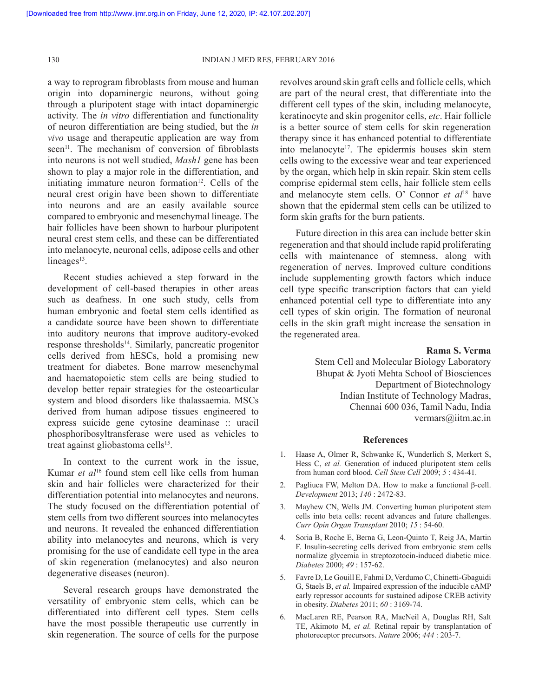a way to reprogram fibroblasts from mouse and human origin into dopaminergic neurons, without going through a pluripotent stage with intact dopaminergic activity. The *in vitro* differentiation and functionality of neuron differentiation are being studied, but the *in vivo* usage and therapeutic application are way from seen<sup>11</sup>. The mechanism of conversion of fibroblasts into neurons is not well studied, *Mash1* gene has been shown to play a major role in the differentiation, and initiating immature neuron formation $12$ . Cells of the neural crest origin have been shown to differentiate into neurons and are an easily available source compared to embryonic and mesenchymal lineage. The hair follicles have been shown to harbour pluripotent neural crest stem cells, and these can be differentiated into melanocyte, neuronal cells, adipose cells and other lineages $13$ .

Recent studies achieved a step forward in the development of cell-based therapies in other areas such as deafness. In one such study, cells from human embryonic and foetal stem cells identified as a candidate source have been shown to differentiate into auditory neurons that improve auditory-evoked response thresholds<sup>14</sup>. Similarly, pancreatic progenitor cells derived from hESCs, hold a promising new treatment for diabetes. Bone marrow mesenchymal and haematopoietic stem cells are being studied to develop better repair strategies for the osteoarticular system and blood disorders like thalassaemia. MSCs derived from human adipose tissues engineered to express suicide gene cytosine deaminase :: uracil phosphoribosyltransferase were used as vehicles to treat against gliobastoma cells<sup>15</sup>.

In context to the current work in the issue, Kumar *et al*16 found stem cell like cells from human skin and hair follicles were characterized for their differentiation potential into melanocytes and neurons. The study focused on the differentiation potential of stem cells from two different sources into melanocytes and neurons. It revealed the enhanced differentiation ability into melanocytes and neurons, which is very promising for the use of candidate cell type in the area of skin regeneration (melanocytes) and also neuron degenerative diseases (neuron).

Several research groups have demonstrated the versatility of embryonic stem cells, which can be differentiated into different cell types. Stem cells have the most possible therapeutic use currently in skin regeneration. The source of cells for the purpose

revolves around skin graft cells and follicle cells, which are part of the neural crest, that differentiate into the different cell types of the skin, including melanocyte, keratinocyte and skin progenitor cells, *etc*. Hair follicle is a better source of stem cells for skin regeneration therapy since it has enhanced potential to differentiate into melanocyte<sup>17</sup>. The epidermis houses skin stem cells owing to the excessive wear and tear experienced by the organ, which help in skin repair. Skin stem cells comprise epidermal stem cells, hair follicle stem cells and melanocyte stem cells. O' Connor *et al*18 have shown that the epidermal stem cells can be utilized to form skin grafts for the burn patients.

Future direction in this area can include better skin regeneration and that should include rapid proliferating cells with maintenance of stemness, along with regeneration of nerves. Improved culture conditions include supplementing growth factors which induce cell type specific transcription factors that can yield enhanced potential cell type to differentiate into any cell types of skin origin. The formation of neuronal cells in the skin graft might increase the sensation in the regenerated area.

#### **Rama S. Verma**

Stem Cell and Molecular Biology Laboratory Bhupat & Jyoti Mehta School of Biosciences Department of Biotechnology Indian Institute of Technology Madras, Chennai 600 036, Tamil Nadu, India vermars@iitm.ac.in

### **References**

- Haase A, Olmer R, Schwanke K, Wunderlich S, Merkert S, Hess C, *et al.* Generation of induced pluripotent stem cells from human cord blood. *Cell Stem Cell* 2009; *5* : 434-41.
- 2. Pagliuca FW, Melton DA. How to make a functional β-cell. *Development* 2013; *140* : 2472-83.
- 3. Mayhew CN, Wells JM. Converting human pluripotent stem cells into beta cells: recent advances and future challenges. *Curr Opin Organ Transplant* 2010; *15* : 54-60.
- 4. Soria B, Roche E, Berna G, Leon-Quinto T, Reig JA, Martin F. Insulin-secreting cells derived from embryonic stem cells normalize glycemia in streptozotocin-induced diabetic mice. *Diabetes* 2000; *49* : 157-62.
- 5. Favre D, Le Gouill E, Fahmi D, Verdumo C, Chinetti-Gbaguidi G, Staels B, *et al.* Impaired expression of the inducible cAMP early repressor accounts for sustained adipose CREB activity in obesity. *Diabetes* 2011; *60* : 3169-74.
- 6. MacLaren RE, Pearson RA, MacNeil A, Douglas RH, Salt TE, Akimoto M, *et al.* Retinal repair by transplantation of photoreceptor precursors. *Nature* 2006; *444* : 203-7.